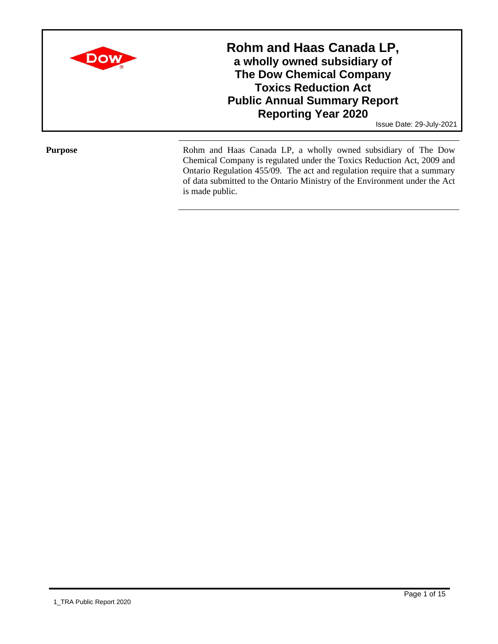

**Rohm and Haas Canada LP, a wholly owned subsidiary of The Dow Chemical Company Toxics Reduction Act Public Annual Summary Report Reporting Year 2020**

Issue Date: 29-July-2021

Purpose Rohm and Haas Canada LP, a wholly owned subsidiary of The Dow Chemical Company is regulated under the Toxics Reduction Act, 2009 and Ontario Regulation 455/09. The act and regulation require that a summary of data submitted to the Ontario Ministry of the Environment under the Act is made public.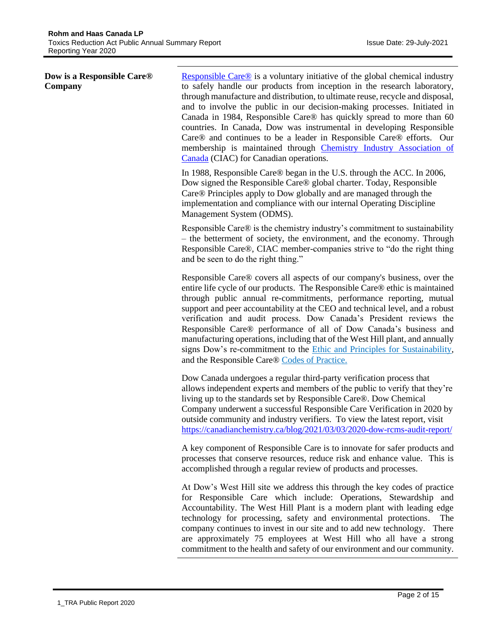## **Dow is a Responsible Care® Company**

[Responsible Care®](https://canadianchemistry.ca/responsible-care/about-responsible-care/) is a voluntary initiative of the global chemical industry to safely handle our products from inception in the research laboratory, through manufacture and distribution, to ultimate reuse, recycle and disposal, and to involve the public in our decision-making processes. Initiated in Canada in 1984, Responsible Care® has quickly spread to more than 60 countries. In Canada, Dow was instrumental in developing Responsible Care® and continues to be a leader in Responsible Care® efforts. Our membership is maintained through [Chemistry Industry Association of](https://canadianchemistry.ca/)  [Canada](https://canadianchemistry.ca/) (CIAC) for Canadian operations.

In 1988, Responsible Care® began in the U.S. through the ACC. In 2006, Dow signed the Responsible Care® global charter. Today, Responsible Care® Principles apply to Dow globally and are managed through the implementation and compliance with our internal Operating Discipline Management System (ODMS).

Responsible Care® is the chemistry industry's commitment to sustainability – the betterment of society, the environment, and the economy. Through Responsible Care®, CIAC member-companies strive to "do the right thing and be seen to do the right thing."

Responsible Care® covers all aspects of our company's business, over the entire life cycle of our products. The Responsible Care® ethic is maintained through public annual re-commitments, performance reporting, mutual support and peer accountability at the CEO and technical level, and a robust verification and audit process. Dow Canada's President reviews the Responsible Care® performance of all of Dow Canada's business and manufacturing operations, including that of the West Hill plant, and annually signs Dow's re-commitment to the [Ethic and Principles for Sustainability,](http://www.canadianchemistry.ca/responsible_care/index.php/en/our-commitment) and the Responsible Care® [Codes of Practice.](http://www.canadianchemistry.ca/responsible_care/index.php/en/responsible-care-codes)

Dow Canada undergoes a regular third-party verification process that allows independent experts and members of the public to verify that they're living up to the standards set by Responsible Care®. Dow Chemical Company underwent a successful Responsible Care Verification in 2020 by outside community and industry verifiers. To view the latest report, visit <https://canadianchemistry.ca/blog/2021/03/03/2020-dow-rcms-audit-report/>

A key component of Responsible Care is to innovate for safer products and processes that conserve resources, reduce risk and enhance value. This is accomplished through a regular review of products and processes.

At Dow's West Hill site we address this through the key codes of practice for Responsible Care which include: Operations, Stewardship and Accountability. The West Hill Plant is a modern plant with leading edge technology for processing, safety and environmental protections. The company continues to invest in our site and to add new technology. There are approximately 75 employees at West Hill who all have a strong commitment to the health and safety of our environment and our community.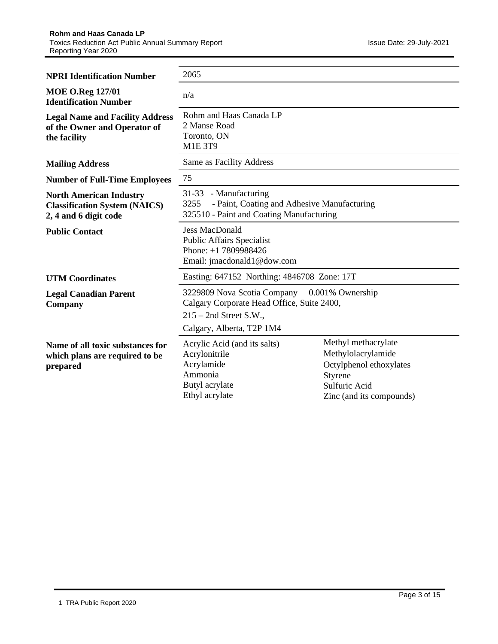| <b>NPRI Identification Number</b>                                                               | 2065                                                                                                                                                |                                                                                                                              |  |  |  |
|-------------------------------------------------------------------------------------------------|-----------------------------------------------------------------------------------------------------------------------------------------------------|------------------------------------------------------------------------------------------------------------------------------|--|--|--|
| <b>MOE O.Reg 127/01</b><br><b>Identification Number</b>                                         | n/a                                                                                                                                                 |                                                                                                                              |  |  |  |
| <b>Legal Name and Facility Address</b><br>of the Owner and Operator of<br>the facility          | Rohm and Haas Canada LP<br>2 Manse Road<br>Toronto, ON<br><b>M1E 3T9</b>                                                                            |                                                                                                                              |  |  |  |
| <b>Mailing Address</b>                                                                          | Same as Facility Address                                                                                                                            |                                                                                                                              |  |  |  |
| <b>Number of Full-Time Employees</b>                                                            | 75                                                                                                                                                  |                                                                                                                              |  |  |  |
| <b>North American Industry</b><br><b>Classification System (NAICS)</b><br>2, 4 and 6 digit code | 31-33 - Manufacturing<br>3255<br>- Paint, Coating and Adhesive Manufacturing<br>325510 - Paint and Coating Manufacturing                            |                                                                                                                              |  |  |  |
| <b>Public Contact</b>                                                                           | <b>Jess MacDonald</b><br><b>Public Affairs Specialist</b><br>Phone: $+1$ 7809988426<br>Email: jmacdonald1@dow.com                                   |                                                                                                                              |  |  |  |
| <b>UTM Coordinates</b>                                                                          | Easting: 647152 Northing: 4846708 Zone: 17T                                                                                                         |                                                                                                                              |  |  |  |
| <b>Legal Canadian Parent</b><br>Company                                                         | 3229809 Nova Scotia Company 0.001% Ownership<br>Calgary Corporate Head Office, Suite 2400,<br>$215 - 2nd$ Street S.W.,<br>Calgary, Alberta, T2P 1M4 |                                                                                                                              |  |  |  |
| Name of all toxic substances for<br>which plans are required to be<br>prepared                  | Acrylic Acid (and its salts)<br>Acrylonitrile<br>Acrylamide<br>Ammonia<br>Butyl acrylate<br>Ethyl acrylate                                          | Methyl methacrylate<br>Methylolacrylamide<br>Octylphenol ethoxylates<br>Styrene<br>Sulfuric Acid<br>Zinc (and its compounds) |  |  |  |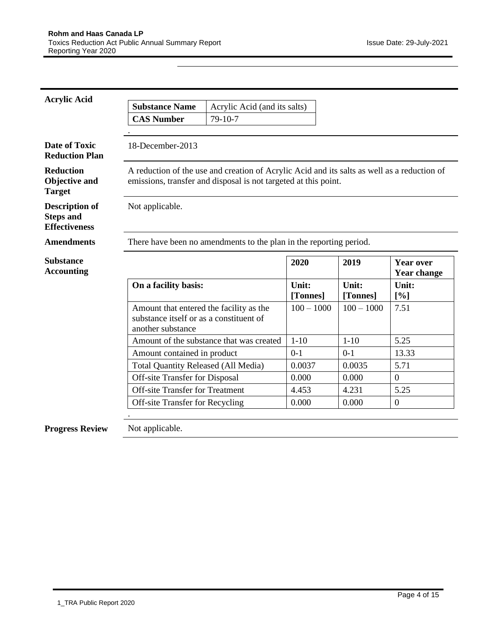| <b>Acrylic Acid</b>                                               |                                                                                                         |                                                                                                                                                                |                   |                   |                                        |
|-------------------------------------------------------------------|---------------------------------------------------------------------------------------------------------|----------------------------------------------------------------------------------------------------------------------------------------------------------------|-------------------|-------------------|----------------------------------------|
|                                                                   | <b>Substance Name</b>                                                                                   | Acrylic Acid (and its salts)                                                                                                                                   |                   |                   |                                        |
|                                                                   | <b>CAS Number</b>                                                                                       | 79-10-7                                                                                                                                                        |                   |                   |                                        |
|                                                                   |                                                                                                         |                                                                                                                                                                |                   |                   |                                        |
| <b>Date of Toxic</b><br><b>Reduction Plan</b>                     | 18-December-2013                                                                                        |                                                                                                                                                                |                   |                   |                                        |
| <b>Reduction</b><br><b>Objective and</b><br><b>Target</b>         |                                                                                                         | A reduction of the use and creation of Acrylic Acid and its salts as well as a reduction of<br>emissions, transfer and disposal is not targeted at this point. |                   |                   |                                        |
| <b>Description of</b><br><b>Steps and</b><br><b>Effectiveness</b> | Not applicable.                                                                                         |                                                                                                                                                                |                   |                   |                                        |
| <b>Amendments</b>                                                 |                                                                                                         | There have been no amendments to the plan in the reporting period.                                                                                             |                   |                   |                                        |
| <b>Substance</b><br><b>Accounting</b>                             |                                                                                                         |                                                                                                                                                                | 2020              | 2019              | <b>Year over</b><br><b>Year change</b> |
|                                                                   | On a facility basis:                                                                                    |                                                                                                                                                                | Unit:<br>[Tonnes] | Unit:<br>[Tonnes] | Unit:<br>[%]                           |
|                                                                   | Amount that entered the facility as the<br>substance itself or as a constituent of<br>another substance |                                                                                                                                                                | $100 - 1000$      | $100 - 1000$      | 7.51                                   |
|                                                                   |                                                                                                         | Amount of the substance that was created                                                                                                                       | $1-10$            | $1 - 10$          | 5.25                                   |
|                                                                   | Amount contained in product                                                                             |                                                                                                                                                                | $0 - 1$           | $0-1$             | 13.33                                  |
|                                                                   | <b>Total Quantity Released (All Media)</b>                                                              |                                                                                                                                                                | 0.0037            | 0.0035            | 5.71                                   |
|                                                                   | <b>Off-site Transfer for Disposal</b>                                                                   |                                                                                                                                                                | 0.000             | 0.000             | $\overline{0}$                         |
|                                                                   | <b>Off-site Transfer for Treatment</b>                                                                  |                                                                                                                                                                | 4.453             | 4.231             | 5.25                                   |
|                                                                   | <b>Off-site Transfer for Recycling</b>                                                                  |                                                                                                                                                                | 0.000             | 0.000             | $\mathbf{0}$                           |
|                                                                   |                                                                                                         |                                                                                                                                                                |                   |                   |                                        |
| <b>Progress Review</b>                                            | Not applicable.                                                                                         |                                                                                                                                                                |                   |                   |                                        |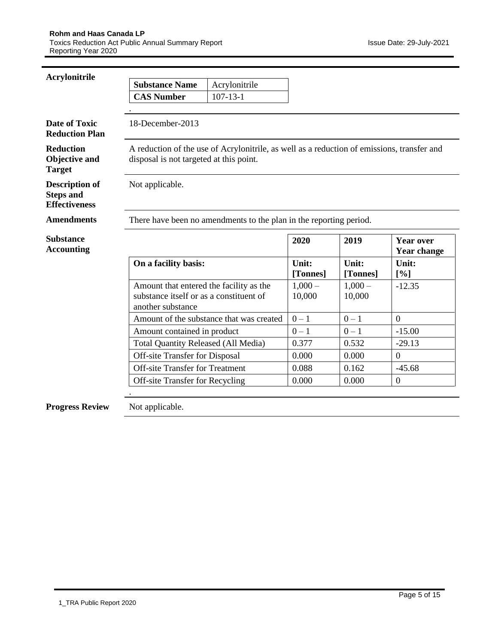| <b>Acrylonitrile</b>                                              |                                                                                                         |                                                                                            |                    |                    |                                        |
|-------------------------------------------------------------------|---------------------------------------------------------------------------------------------------------|--------------------------------------------------------------------------------------------|--------------------|--------------------|----------------------------------------|
|                                                                   | <b>Substance Name</b>                                                                                   | Acrylonitrile                                                                              |                    |                    |                                        |
|                                                                   | <b>CAS Number</b>                                                                                       | $107 - 13 - 1$                                                                             |                    |                    |                                        |
|                                                                   |                                                                                                         |                                                                                            |                    |                    |                                        |
| <b>Date of Toxic</b><br><b>Reduction Plan</b>                     | 18-December-2013                                                                                        |                                                                                            |                    |                    |                                        |
| <b>Reduction</b><br><b>Objective and</b><br><b>Target</b>         | disposal is not targeted at this point.                                                                 | A reduction of the use of Acrylonitrile, as well as a reduction of emissions, transfer and |                    |                    |                                        |
| <b>Description of</b><br><b>Steps and</b><br><b>Effectiveness</b> | Not applicable.                                                                                         |                                                                                            |                    |                    |                                        |
| <b>Amendments</b>                                                 |                                                                                                         | There have been no amendments to the plan in the reporting period.                         |                    |                    |                                        |
| <b>Substance</b><br><b>Accounting</b>                             |                                                                                                         |                                                                                            | 2020               | 2019               | <b>Year over</b><br><b>Year change</b> |
|                                                                   |                                                                                                         |                                                                                            |                    |                    |                                        |
|                                                                   | On a facility basis:                                                                                    |                                                                                            | Unit:<br>[Tonnes]  | Unit:<br>[Tonnes]  | Unit:<br>[%]                           |
|                                                                   | Amount that entered the facility as the<br>substance itself or as a constituent of<br>another substance |                                                                                            | $1,000-$<br>10,000 | $1,000-$<br>10,000 | $-12.35$                               |
|                                                                   |                                                                                                         | Amount of the substance that was created                                                   | $0 - 1$            | $0 - 1$            | $\theta$                               |
|                                                                   | Amount contained in product                                                                             |                                                                                            | $0 - 1$            | $0 - 1$            | $-15.00$                               |
|                                                                   | <b>Total Quantity Released (All Media)</b>                                                              |                                                                                            | 0.377              | 0.532              | $-29.13$                               |
|                                                                   | Off-site Transfer for Disposal                                                                          |                                                                                            | 0.000              | 0.000              | $\Omega$                               |
|                                                                   | <b>Off-site Transfer for Treatment</b>                                                                  |                                                                                            | 0.088              | 0.162              | $-45.68$                               |
|                                                                   | Off-site Transfer for Recycling                                                                         |                                                                                            | 0.000              | 0.000              | $\boldsymbol{0}$                       |
|                                                                   |                                                                                                         |                                                                                            |                    |                    |                                        |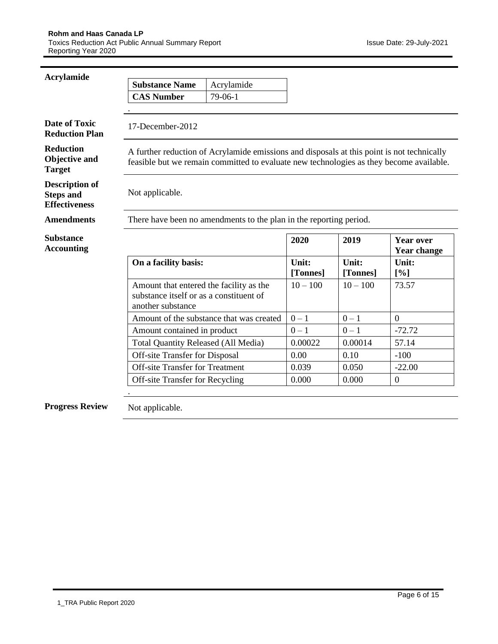| Acrylamide                                                        |                                                                                                         |                                                                                                                                                                                       |                   |                   |                                        |
|-------------------------------------------------------------------|---------------------------------------------------------------------------------------------------------|---------------------------------------------------------------------------------------------------------------------------------------------------------------------------------------|-------------------|-------------------|----------------------------------------|
|                                                                   | <b>Substance Name</b>                                                                                   | Acrylamide                                                                                                                                                                            |                   |                   |                                        |
|                                                                   | <b>CAS Number</b>                                                                                       | 79-06-1                                                                                                                                                                               |                   |                   |                                        |
|                                                                   |                                                                                                         |                                                                                                                                                                                       |                   |                   |                                        |
| <b>Date of Toxic</b><br><b>Reduction Plan</b>                     | 17-December-2012                                                                                        |                                                                                                                                                                                       |                   |                   |                                        |
| <b>Reduction</b><br><b>Objective and</b><br><b>Target</b>         |                                                                                                         | A further reduction of Acrylamide emissions and disposals at this point is not technically<br>feasible but we remain committed to evaluate new technologies as they become available. |                   |                   |                                        |
| <b>Description of</b><br><b>Steps and</b><br><b>Effectiveness</b> | Not applicable.                                                                                         |                                                                                                                                                                                       |                   |                   |                                        |
| <b>Amendments</b>                                                 |                                                                                                         | There have been no amendments to the plan in the reporting period.                                                                                                                    |                   |                   |                                        |
| <b>Substance</b><br><b>Accounting</b>                             |                                                                                                         |                                                                                                                                                                                       | 2020              | 2019              | <b>Year over</b><br><b>Year change</b> |
|                                                                   | On a facility basis:                                                                                    |                                                                                                                                                                                       | Unit:<br>[Tonnes] | Unit:<br>[Tonnes] | Unit:<br>[%]                           |
|                                                                   | Amount that entered the facility as the<br>substance itself or as a constituent of<br>another substance |                                                                                                                                                                                       | $10 - 100$        | $10 - 100$        | 73.57                                  |
|                                                                   |                                                                                                         | Amount of the substance that was created                                                                                                                                              | $0 - 1$           | $0 - 1$           | $\overline{0}$                         |
|                                                                   | Amount contained in product                                                                             |                                                                                                                                                                                       | $0 - 1$           | $0 - 1$           | $-72.72$                               |
|                                                                   | <b>Total Quantity Released (All Media)</b>                                                              |                                                                                                                                                                                       | 0.00022           | 0.00014           | 57.14                                  |
|                                                                   | <b>Off-site Transfer for Disposal</b>                                                                   |                                                                                                                                                                                       | 0.00              | 0.10              | $-100$                                 |
|                                                                   | <b>Off-site Transfer for Treatment</b>                                                                  |                                                                                                                                                                                       | 0.039             | 0.050             | $-22.00$                               |
|                                                                   | Off-site Transfer for Recycling                                                                         |                                                                                                                                                                                       | 0.000             | 0.000             | $\mathbf{0}$                           |
|                                                                   |                                                                                                         |                                                                                                                                                                                       |                   |                   |                                        |
| <b>Progress Review</b>                                            | Not applicable.                                                                                         |                                                                                                                                                                                       |                   |                   |                                        |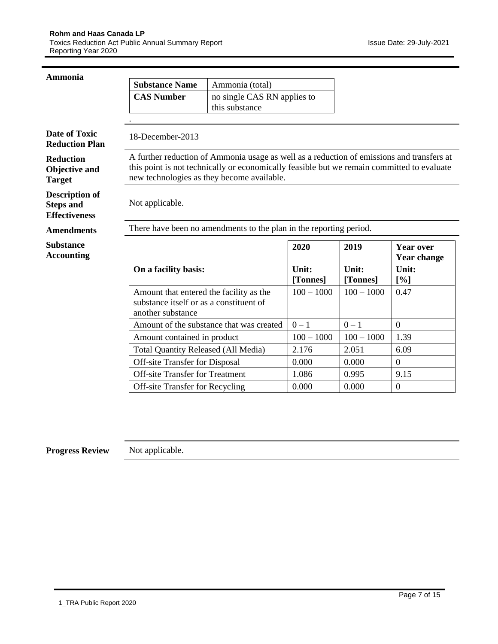| <b>Ammonia</b>                                                    |                                                                                                         |                                                                                                                                                                                                                                       |                   |                   |                                        |
|-------------------------------------------------------------------|---------------------------------------------------------------------------------------------------------|---------------------------------------------------------------------------------------------------------------------------------------------------------------------------------------------------------------------------------------|-------------------|-------------------|----------------------------------------|
|                                                                   | <b>Substance Name</b>                                                                                   | Ammonia (total)                                                                                                                                                                                                                       |                   |                   |                                        |
|                                                                   | <b>CAS Number</b>                                                                                       | no single CAS RN applies to                                                                                                                                                                                                           |                   |                   |                                        |
|                                                                   |                                                                                                         | this substance                                                                                                                                                                                                                        |                   |                   |                                        |
|                                                                   |                                                                                                         |                                                                                                                                                                                                                                       |                   |                   |                                        |
| <b>Date of Toxic</b><br><b>Reduction Plan</b>                     | 18-December-2013                                                                                        |                                                                                                                                                                                                                                       |                   |                   |                                        |
| <b>Reduction</b><br><b>Objective and</b><br><b>Target</b>         |                                                                                                         | A further reduction of Ammonia usage as well as a reduction of emissions and transfers at<br>this point is not technically or economically feasible but we remain committed to evaluate<br>new technologies as they become available. |                   |                   |                                        |
| <b>Description of</b><br><b>Steps and</b><br><b>Effectiveness</b> | Not applicable.                                                                                         |                                                                                                                                                                                                                                       |                   |                   |                                        |
| <b>Amendments</b>                                                 |                                                                                                         | There have been no amendments to the plan in the reporting period.                                                                                                                                                                    |                   |                   |                                        |
| <b>Substance</b><br><b>Accounting</b>                             |                                                                                                         |                                                                                                                                                                                                                                       | 2020              | 2019              | <b>Year over</b><br><b>Year change</b> |
|                                                                   | On a facility basis:                                                                                    |                                                                                                                                                                                                                                       | Unit:<br>[Tonnes] | Unit:<br>[Tonnes] | Unit:<br>[%]                           |
|                                                                   | Amount that entered the facility as the<br>substance itself or as a constituent of<br>another substance |                                                                                                                                                                                                                                       | $100 - 1000$      | $100 - 1000$      | 0.47                                   |
|                                                                   |                                                                                                         | Amount of the substance that was created                                                                                                                                                                                              | $0 - 1$           | $0 - 1$           | $\overline{0}$                         |
|                                                                   | Amount contained in product                                                                             |                                                                                                                                                                                                                                       | $100 - 1000$      | $100 - 1000$      | 1.39                                   |
|                                                                   | <b>Total Quantity Released (All Media)</b>                                                              |                                                                                                                                                                                                                                       | 2.176             | 2.051             | 6.09                                   |
|                                                                   | <b>Off-site Transfer for Disposal</b>                                                                   |                                                                                                                                                                                                                                       | 0.000             | 0.000             | $\overline{0}$                         |
|                                                                   | <b>Off-site Transfer for Treatment</b>                                                                  |                                                                                                                                                                                                                                       | 1.086             | 0.995             | 9.15                                   |
|                                                                   | Off-site Transfer for Recycling                                                                         |                                                                                                                                                                                                                                       | 0.000             | 0.000             | $\boldsymbol{0}$                       |
|                                                                   |                                                                                                         |                                                                                                                                                                                                                                       |                   |                   |                                        |

**Progress Review** Not applicable.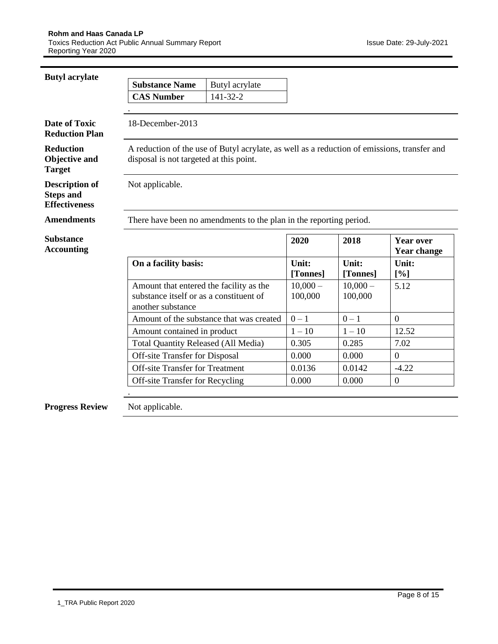| <b>Butyl</b> acrylate                                             |                                                                                                         |                                                                                             |                       |                       |                                        |
|-------------------------------------------------------------------|---------------------------------------------------------------------------------------------------------|---------------------------------------------------------------------------------------------|-----------------------|-----------------------|----------------------------------------|
|                                                                   | <b>Substance Name</b>                                                                                   | Butyl acrylate                                                                              |                       |                       |                                        |
|                                                                   | <b>CAS Number</b>                                                                                       | 141-32-2                                                                                    |                       |                       |                                        |
|                                                                   |                                                                                                         |                                                                                             |                       |                       |                                        |
| <b>Date of Toxic</b><br><b>Reduction Plan</b>                     | 18-December-2013                                                                                        |                                                                                             |                       |                       |                                        |
| <b>Reduction</b><br><b>Objective and</b><br><b>Target</b>         | disposal is not targeted at this point.                                                                 | A reduction of the use of Butyl acrylate, as well as a reduction of emissions, transfer and |                       |                       |                                        |
| <b>Description of</b><br><b>Steps and</b><br><b>Effectiveness</b> | Not applicable.                                                                                         |                                                                                             |                       |                       |                                        |
| <b>Amendments</b>                                                 |                                                                                                         | There have been no amendments to the plan in the reporting period.                          |                       |                       |                                        |
| <b>Substance</b><br><b>Accounting</b>                             |                                                                                                         |                                                                                             | 2020                  | 2018                  | <b>Year over</b><br><b>Year change</b> |
|                                                                   | On a facility basis:                                                                                    |                                                                                             | Unit:<br>[Tonnes]     | Unit:<br>[Tonnes]     | Unit:<br>[%]                           |
|                                                                   | Amount that entered the facility as the<br>substance itself or as a constituent of<br>another substance |                                                                                             | $10,000 -$<br>100,000 | $10,000 -$<br>100,000 | 5.12                                   |
|                                                                   |                                                                                                         | Amount of the substance that was created                                                    | $0 - 1$               | $0 - 1$               | $\theta$                               |
|                                                                   | Amount contained in product                                                                             |                                                                                             | $1 - 10$              | $1 - 10$              | 12.52                                  |
|                                                                   | <b>Total Quantity Released (All Media)</b>                                                              |                                                                                             | 0.305                 | 0.285                 | 7.02                                   |
|                                                                   | <b>Off-site Transfer for Disposal</b>                                                                   |                                                                                             | 0.000                 | 0.000                 | $\theta$                               |
|                                                                   | <b>Off-site Transfer for Treatment</b>                                                                  |                                                                                             | 0.0136                | 0.0142                | $-4.22$                                |
|                                                                   | <b>Off-site Transfer for Recycling</b>                                                                  |                                                                                             | 0.000                 | 0.000                 | $\theta$                               |
|                                                                   |                                                                                                         |                                                                                             |                       |                       |                                        |
| <b>Progress Review</b>                                            | Not applicable.                                                                                         |                                                                                             |                       |                       |                                        |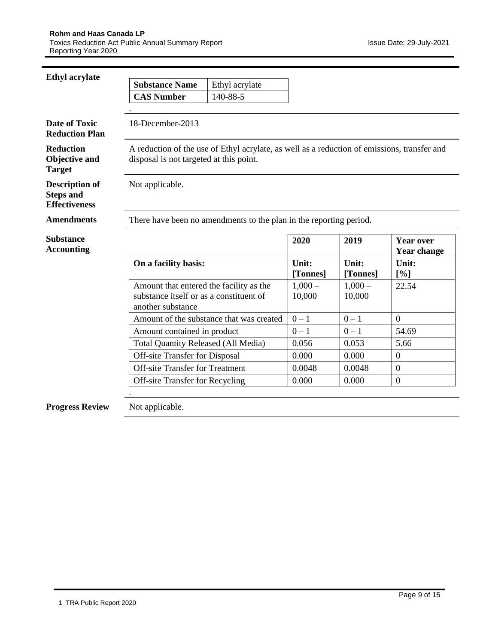| <b>Ethyl acrylate</b>                                             |                                                                                                         |                                                                                             |                    |                    |                                        |
|-------------------------------------------------------------------|---------------------------------------------------------------------------------------------------------|---------------------------------------------------------------------------------------------|--------------------|--------------------|----------------------------------------|
|                                                                   | <b>Substance Name</b>                                                                                   | Ethyl acrylate                                                                              |                    |                    |                                        |
|                                                                   | <b>CAS Number</b>                                                                                       | 140-88-5                                                                                    |                    |                    |                                        |
|                                                                   |                                                                                                         |                                                                                             |                    |                    |                                        |
| <b>Date of Toxic</b><br><b>Reduction Plan</b>                     | 18-December-2013                                                                                        |                                                                                             |                    |                    |                                        |
| <b>Reduction</b><br><b>Objective and</b><br><b>Target</b>         | disposal is not targeted at this point.                                                                 | A reduction of the use of Ethyl acrylate, as well as a reduction of emissions, transfer and |                    |                    |                                        |
| <b>Description of</b><br><b>Steps and</b><br><b>Effectiveness</b> | Not applicable.                                                                                         |                                                                                             |                    |                    |                                        |
| <b>Amendments</b>                                                 |                                                                                                         | There have been no amendments to the plan in the reporting period.                          |                    |                    |                                        |
| <b>Substance</b><br><b>Accounting</b>                             |                                                                                                         |                                                                                             | 2020               | 2019               | <b>Year over</b><br><b>Year change</b> |
|                                                                   | On a facility basis:                                                                                    |                                                                                             | Unit:<br>[Tonnes]  | Unit:<br>[Tonnes]  | Unit:<br>[%]                           |
|                                                                   | Amount that entered the facility as the<br>substance itself or as a constituent of<br>another substance |                                                                                             | $1,000-$<br>10,000 | $1,000-$<br>10,000 | 22.54                                  |
|                                                                   |                                                                                                         | Amount of the substance that was created                                                    | $0 - 1$            | $0 - 1$            | $\overline{0}$                         |
|                                                                   | Amount contained in product                                                                             |                                                                                             | $0 - 1$            | $0 - 1$            | 54.69                                  |
|                                                                   | <b>Total Quantity Released (All Media)</b>                                                              |                                                                                             | 0.056              | 0.053              | 5.66                                   |
|                                                                   | <b>Off-site Transfer for Disposal</b>                                                                   |                                                                                             | 0.000              | 0.000              | $\overline{0}$                         |
|                                                                   | <b>Off-site Transfer for Treatment</b>                                                                  |                                                                                             | 0.0048             | 0.0048             | $\boldsymbol{0}$                       |
|                                                                   | <b>Off-site Transfer for Recycling</b>                                                                  |                                                                                             | 0.000              | 0.000              | $\boldsymbol{0}$                       |
| <b>Progress Review</b>                                            | Not applicable.                                                                                         |                                                                                             |                    |                    |                                        |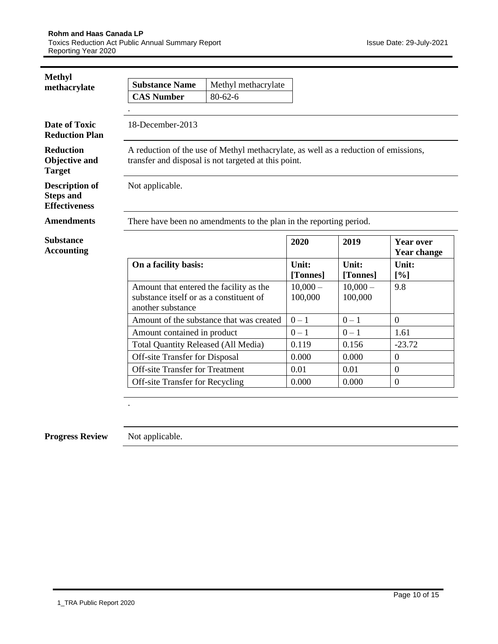| <b>Methyl</b>                                                     |                                                                                                         |                                                                                                                                             |                       |                       |                                 |
|-------------------------------------------------------------------|---------------------------------------------------------------------------------------------------------|---------------------------------------------------------------------------------------------------------------------------------------------|-----------------------|-----------------------|---------------------------------|
| methacrylate                                                      | <b>Substance Name</b>                                                                                   | Methyl methacrylate                                                                                                                         |                       |                       |                                 |
|                                                                   | <b>CAS Number</b>                                                                                       | $80 - 62 - 6$                                                                                                                               |                       |                       |                                 |
|                                                                   |                                                                                                         |                                                                                                                                             |                       |                       |                                 |
| Date of Toxic<br><b>Reduction Plan</b>                            | 18-December-2013                                                                                        |                                                                                                                                             |                       |                       |                                 |
| <b>Reduction</b><br>Objective and<br><b>Target</b>                |                                                                                                         | A reduction of the use of Methyl methacrylate, as well as a reduction of emissions,<br>transfer and disposal is not targeted at this point. |                       |                       |                                 |
| <b>Description of</b><br><b>Steps and</b><br><b>Effectiveness</b> | Not applicable.                                                                                         |                                                                                                                                             |                       |                       |                                 |
|                                                                   |                                                                                                         |                                                                                                                                             |                       |                       |                                 |
| <b>Amendments</b>                                                 |                                                                                                         | There have been no amendments to the plan in the reporting period.                                                                          |                       |                       |                                 |
| <b>Substance</b><br><b>Accounting</b>                             |                                                                                                         |                                                                                                                                             | 2020                  | 2019                  | <b>Year over</b><br>Year change |
|                                                                   | On a facility basis:                                                                                    |                                                                                                                                             | Unit:<br>[Tonnes]     | Unit:<br>[Tonnes]     | Unit:<br>[%]                    |
|                                                                   | Amount that entered the facility as the<br>substance itself or as a constituent of<br>another substance |                                                                                                                                             | $10,000 -$<br>100,000 | $10,000 -$<br>100,000 | 9.8                             |
|                                                                   |                                                                                                         | Amount of the substance that was created                                                                                                    | $0 - 1$               | $0-1$                 | $\overline{0}$                  |
|                                                                   | Amount contained in product                                                                             |                                                                                                                                             | $0 - 1$               | $0 - 1$               | 1.61                            |
|                                                                   | <b>Total Quantity Released (All Media)</b>                                                              |                                                                                                                                             | 0.119                 | 0.156                 | $-23.72$                        |
|                                                                   | <b>Off-site Transfer for Disposal</b>                                                                   |                                                                                                                                             | 0.000                 | 0.000                 | $\boldsymbol{0}$                |
|                                                                   | <b>Off-site Transfer for Treatment</b>                                                                  |                                                                                                                                             | 0.01                  | 0.01                  | $\boldsymbol{0}$                |

## **Progress Review** Not applicable.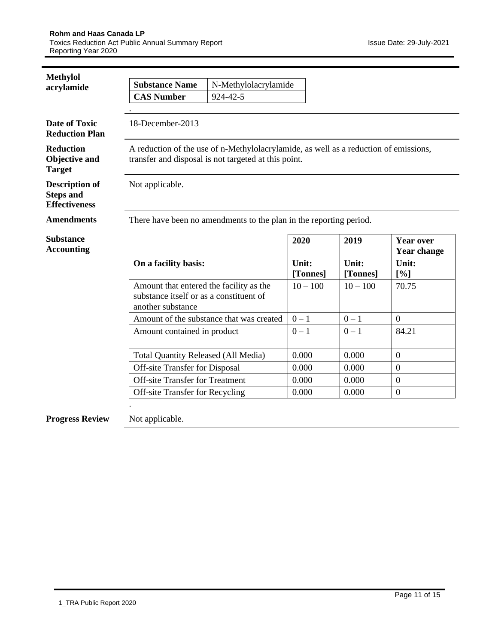| <b>Methylol</b>                                                   |                                                                                                         |                                                                                                                                              |                   |                   |                                        |  |  |
|-------------------------------------------------------------------|---------------------------------------------------------------------------------------------------------|----------------------------------------------------------------------------------------------------------------------------------------------|-------------------|-------------------|----------------------------------------|--|--|
| acrylamide                                                        | <b>Substance Name</b>                                                                                   | N-Methylolacrylamide                                                                                                                         |                   |                   |                                        |  |  |
|                                                                   | <b>CAS Number</b><br>924-42-5                                                                           |                                                                                                                                              |                   |                   |                                        |  |  |
|                                                                   |                                                                                                         |                                                                                                                                              |                   |                   |                                        |  |  |
| <b>Date of Toxic</b><br><b>Reduction Plan</b>                     | 18-December-2013                                                                                        |                                                                                                                                              |                   |                   |                                        |  |  |
| <b>Reduction</b><br><b>Objective and</b><br><b>Target</b>         |                                                                                                         | A reduction of the use of n-Methylolacrylamide, as well as a reduction of emissions,<br>transfer and disposal is not targeted at this point. |                   |                   |                                        |  |  |
| <b>Description of</b><br><b>Steps and</b><br><b>Effectiveness</b> | Not applicable.                                                                                         |                                                                                                                                              |                   |                   |                                        |  |  |
| <b>Amendments</b>                                                 |                                                                                                         | There have been no amendments to the plan in the reporting period.                                                                           |                   |                   |                                        |  |  |
| <b>Substance</b><br><b>Accounting</b>                             |                                                                                                         |                                                                                                                                              | 2020              | 2019              | <b>Year over</b><br><b>Year change</b> |  |  |
|                                                                   | On a facility basis:                                                                                    |                                                                                                                                              | Unit:<br>[Tonnes] | Unit:<br>[Tonnes] | Unit:<br>[%]                           |  |  |
|                                                                   | Amount that entered the facility as the<br>substance itself or as a constituent of<br>another substance |                                                                                                                                              | $10 - 100$        | $10 - 100$        | 70.75                                  |  |  |
|                                                                   |                                                                                                         | Amount of the substance that was created                                                                                                     | $0-1$             | $0-1$             | $\boldsymbol{0}$                       |  |  |
|                                                                   | Amount contained in product                                                                             |                                                                                                                                              | $0 - 1$           | $0 - 1$           | 84.21                                  |  |  |
|                                                                   | <b>Total Quantity Released (All Media)</b>                                                              |                                                                                                                                              | 0.000             | 0.000             | $\mathbf{0}$                           |  |  |
|                                                                   | Off-site Transfer for Disposal                                                                          |                                                                                                                                              | 0.000             | 0.000             | $\overline{0}$                         |  |  |
|                                                                   | <b>Off-site Transfer for Treatment</b>                                                                  |                                                                                                                                              | 0.000             | 0.000             | $\overline{0}$                         |  |  |
|                                                                   | Off-site Transfer for Recycling                                                                         |                                                                                                                                              | 0.000             | 0.000             | $\mathbf{0}$                           |  |  |
| <b>Progress Review</b>                                            | Not applicable.                                                                                         |                                                                                                                                              |                   |                   |                                        |  |  |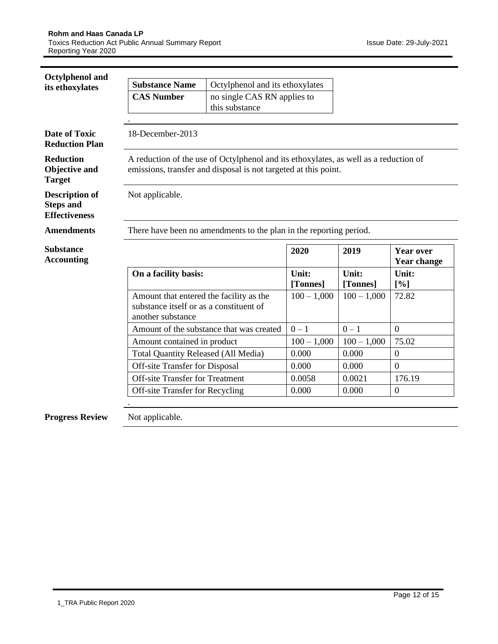| Octylphenol and                                                   |                                                                                                         |                                                                                                                                                         |                   |                   |                                        |
|-------------------------------------------------------------------|---------------------------------------------------------------------------------------------------------|---------------------------------------------------------------------------------------------------------------------------------------------------------|-------------------|-------------------|----------------------------------------|
| its ethoxylates                                                   | <b>Substance Name</b>                                                                                   | Octylphenol and its ethoxylates                                                                                                                         |                   |                   |                                        |
|                                                                   | <b>CAS Number</b>                                                                                       | no single CAS RN applies to                                                                                                                             |                   |                   |                                        |
|                                                                   |                                                                                                         | this substance                                                                                                                                          |                   |                   |                                        |
|                                                                   |                                                                                                         |                                                                                                                                                         |                   |                   |                                        |
| <b>Date of Toxic</b><br><b>Reduction Plan</b>                     | 18-December-2013                                                                                        |                                                                                                                                                         |                   |                   |                                        |
| <b>Reduction</b><br><b>Objective and</b><br><b>Target</b>         |                                                                                                         | A reduction of the use of Octylphenol and its ethoxylates, as well as a reduction of<br>emissions, transfer and disposal is not targeted at this point. |                   |                   |                                        |
| <b>Description of</b><br><b>Steps and</b><br><b>Effectiveness</b> | Not applicable.                                                                                         |                                                                                                                                                         |                   |                   |                                        |
| <b>Amendments</b>                                                 |                                                                                                         | There have been no amendments to the plan in the reporting period.                                                                                      |                   |                   |                                        |
|                                                                   |                                                                                                         |                                                                                                                                                         |                   |                   |                                        |
| <b>Substance</b><br><b>Accounting</b>                             |                                                                                                         |                                                                                                                                                         | 2020              | 2019              | <b>Year over</b><br><b>Year change</b> |
|                                                                   | On a facility basis:                                                                                    |                                                                                                                                                         | Unit:<br>[Tonnes] | Unit:<br>[Tonnes] | Unit:<br>[%]                           |
|                                                                   | Amount that entered the facility as the<br>substance itself or as a constituent of<br>another substance |                                                                                                                                                         | $100 - 1,000$     | $100 - 1,000$     | 72.82                                  |
|                                                                   |                                                                                                         | Amount of the substance that was created                                                                                                                | $0 - 1$           | $0 - 1$           | $\overline{0}$                         |
|                                                                   | Amount contained in product                                                                             |                                                                                                                                                         | $100 - 1,000$     | $100 - 1,000$     | 75.02                                  |
|                                                                   | <b>Total Quantity Released (All Media)</b>                                                              |                                                                                                                                                         | 0.000             | 0.000             | $\overline{0}$                         |
|                                                                   | <b>Off-site Transfer for Disposal</b>                                                                   |                                                                                                                                                         | 0.000             | 0.000             | $\overline{0}$                         |
|                                                                   | <b>Off-site Transfer for Treatment</b>                                                                  |                                                                                                                                                         | 0.0058            | 0.0021            | 176.19                                 |
|                                                                   | <b>Off-site Transfer for Recycling</b>                                                                  |                                                                                                                                                         | 0.000             | 0.000             | $\Omega$                               |
|                                                                   |                                                                                                         |                                                                                                                                                         |                   |                   |                                        |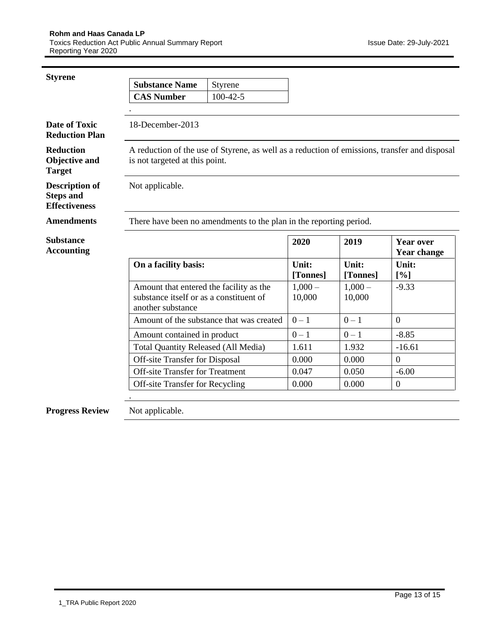| <b>Styrene</b>                                                    |                                                                                                         |                                                                                               |                    |                    |                                        |
|-------------------------------------------------------------------|---------------------------------------------------------------------------------------------------------|-----------------------------------------------------------------------------------------------|--------------------|--------------------|----------------------------------------|
|                                                                   | <b>Substance Name</b>                                                                                   | Styrene                                                                                       |                    |                    |                                        |
|                                                                   | <b>CAS Number</b>                                                                                       | $100-42-5$                                                                                    |                    |                    |                                        |
|                                                                   |                                                                                                         |                                                                                               |                    |                    |                                        |
| <b>Date of Toxic</b><br><b>Reduction Plan</b>                     | 18-December-2013                                                                                        |                                                                                               |                    |                    |                                        |
| <b>Reduction</b><br><b>Objective and</b><br><b>Target</b>         | is not targeted at this point.                                                                          | A reduction of the use of Styrene, as well as a reduction of emissions, transfer and disposal |                    |                    |                                        |
| <b>Description of</b><br><b>Steps and</b><br><b>Effectiveness</b> | Not applicable.                                                                                         |                                                                                               |                    |                    |                                        |
| <b>Amendments</b>                                                 |                                                                                                         | There have been no amendments to the plan in the reporting period.                            |                    |                    |                                        |
| <b>Substance</b><br><b>Accounting</b>                             |                                                                                                         |                                                                                               | 2020               | 2019               | <b>Year over</b><br><b>Year change</b> |
|                                                                   | On a facility basis:                                                                                    |                                                                                               | Unit:<br>[Tonnes]  | Unit:<br>[Tonnes]  | Unit:<br>[%]                           |
|                                                                   | Amount that entered the facility as the<br>substance itself or as a constituent of<br>another substance |                                                                                               | $1,000-$<br>10,000 | $1,000-$<br>10,000 | $-9.33$                                |
|                                                                   |                                                                                                         | Amount of the substance that was created                                                      | $0 - 1$            | $0 - 1$            | $\overline{0}$                         |
|                                                                   | Amount contained in product                                                                             |                                                                                               | $0 - 1$            | $0 - 1$            | $-8.85$                                |
|                                                                   | <b>Total Quantity Released (All Media)</b>                                                              |                                                                                               | 1.611              | 1.932              | $-16.61$                               |
|                                                                   | <b>Off-site Transfer for Disposal</b>                                                                   |                                                                                               | 0.000              | 0.000              | $\boldsymbol{0}$                       |
|                                                                   | <b>Off-site Transfer for Treatment</b>                                                                  |                                                                                               | 0.047              | 0.050              | $-6.00$                                |
|                                                                   | Off-site Transfer for Recycling                                                                         |                                                                                               | 0.000              | 0.000              | $\boldsymbol{0}$                       |
|                                                                   |                                                                                                         |                                                                                               |                    |                    |                                        |
| <b>Progress Review</b>                                            | Not applicable.                                                                                         |                                                                                               |                    |                    |                                        |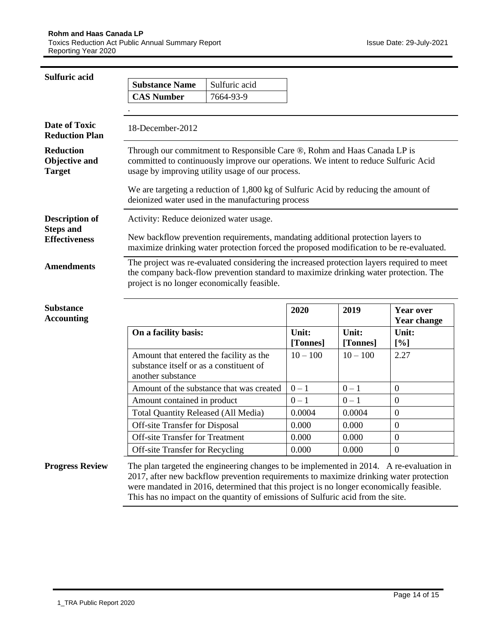| <b>Sulfuric acid</b>                               | <b>Substance Name</b>                                                                                   | Sulfuric acid                                                                                                                                                                                                                                                                                                                                                   |                   |                   |                                        |
|----------------------------------------------------|---------------------------------------------------------------------------------------------------------|-----------------------------------------------------------------------------------------------------------------------------------------------------------------------------------------------------------------------------------------------------------------------------------------------------------------------------------------------------------------|-------------------|-------------------|----------------------------------------|
|                                                    | <b>CAS Number</b>                                                                                       | 7664-93-9                                                                                                                                                                                                                                                                                                                                                       |                   |                   |                                        |
|                                                    |                                                                                                         |                                                                                                                                                                                                                                                                                                                                                                 |                   |                   |                                        |
| <b>Date of Toxic</b><br><b>Reduction Plan</b>      | 18-December-2012                                                                                        |                                                                                                                                                                                                                                                                                                                                                                 |                   |                   |                                        |
| <b>Reduction</b><br>Objective and<br><b>Target</b> |                                                                                                         | Through our commitment to Responsible Care ®, Rohm and Haas Canada LP is<br>committed to continuously improve our operations. We intent to reduce Sulfuric Acid<br>usage by improving utility usage of our process.                                                                                                                                             |                   |                   |                                        |
|                                                    |                                                                                                         | We are targeting a reduction of 1,800 kg of Sulfuric Acid by reducing the amount of<br>deionized water used in the manufacturing process                                                                                                                                                                                                                        |                   |                   |                                        |
| <b>Description of</b>                              | Activity: Reduce deionized water usage.                                                                 |                                                                                                                                                                                                                                                                                                                                                                 |                   |                   |                                        |
| <b>Steps and</b><br><b>Effectiveness</b>           |                                                                                                         | New backflow prevention requirements, mandating additional protection layers to<br>maximize drinking water protection forced the proposed modification to be re-evaluated.                                                                                                                                                                                      |                   |                   |                                        |
| <b>Amendments</b>                                  | project is no longer economically feasible.                                                             | The project was re-evaluated considering the increased protection layers required to meet<br>the company back-flow prevention standard to maximize drinking water protection. The                                                                                                                                                                               |                   |                   |                                        |
| <b>Substance</b><br><b>Accounting</b>              |                                                                                                         |                                                                                                                                                                                                                                                                                                                                                                 | 2020              | 2019              | <b>Year over</b><br><b>Year change</b> |
|                                                    | On a facility basis:                                                                                    |                                                                                                                                                                                                                                                                                                                                                                 | Unit:<br>[Tonnes] | Unit:<br>[Tonnes] | Unit:<br>[%]                           |
|                                                    | Amount that entered the facility as the<br>substance itself or as a constituent of<br>another substance |                                                                                                                                                                                                                                                                                                                                                                 | $10 - 100$        | $10 - 100$        | 2.27                                   |
|                                                    |                                                                                                         | Amount of the substance that was created                                                                                                                                                                                                                                                                                                                        | $0-1$             | $0-1$             | $\mathbf{0}$                           |
|                                                    | Amount contained in product                                                                             |                                                                                                                                                                                                                                                                                                                                                                 | $0 - 1$           | $0 - 1$           | $\overline{0}$                         |
|                                                    | <b>Total Quantity Released (All Media)</b>                                                              |                                                                                                                                                                                                                                                                                                                                                                 | 0.0004            | 0.0004            | $\mathbf{0}$                           |
|                                                    | <b>Off-site Transfer for Disposal</b>                                                                   |                                                                                                                                                                                                                                                                                                                                                                 | 0.000             | 0.000             | $\overline{0}$                         |
|                                                    | Off-site Transfer for Treatment                                                                         |                                                                                                                                                                                                                                                                                                                                                                 | 0.000             | 0.000             | $\boldsymbol{0}$                       |
|                                                    | <b>Off-site Transfer for Recycling</b>                                                                  |                                                                                                                                                                                                                                                                                                                                                                 | 0.000             | 0.000             | $\overline{0}$                         |
| <b>Progress Review</b>                             |                                                                                                         | The plan targeted the engineering changes to be implemented in 2014. A re-evaluation in<br>2017, after new backflow prevention requirements to maximize drinking water protection<br>were mandated in 2016, determined that this project is no longer economically feasible.<br>This has no impact on the quantity of emissions of Sulfuric acid from the site. |                   |                   |                                        |